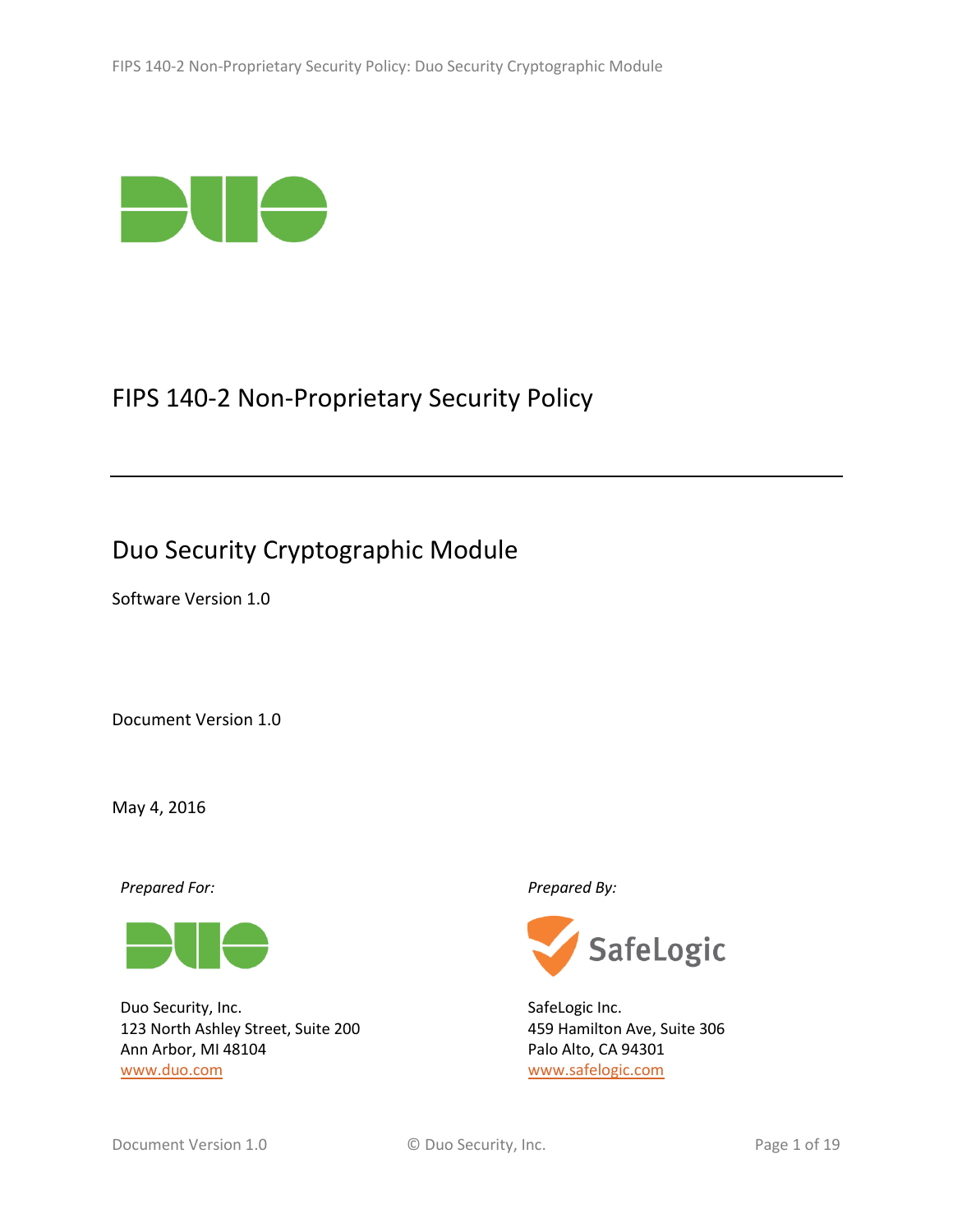

# FIPS 140-2 Non-Proprietary Security Policy

# Duo Security Cryptographic Module

Software Version 1.0

Document Version 1.0

May 4, 2016

*Prepared For: Prepared By:*



Duo Security, Inc. 123 North Ashley Street, Suite 200 Ann Arbor, MI 48104 [www.duo.com](http://www.duo.com/)



SafeLogic Inc. 459 Hamilton Ave, Suite 306 Palo Alto, CA 94301 [www.safelogic.com](http://www.safelogic.com/)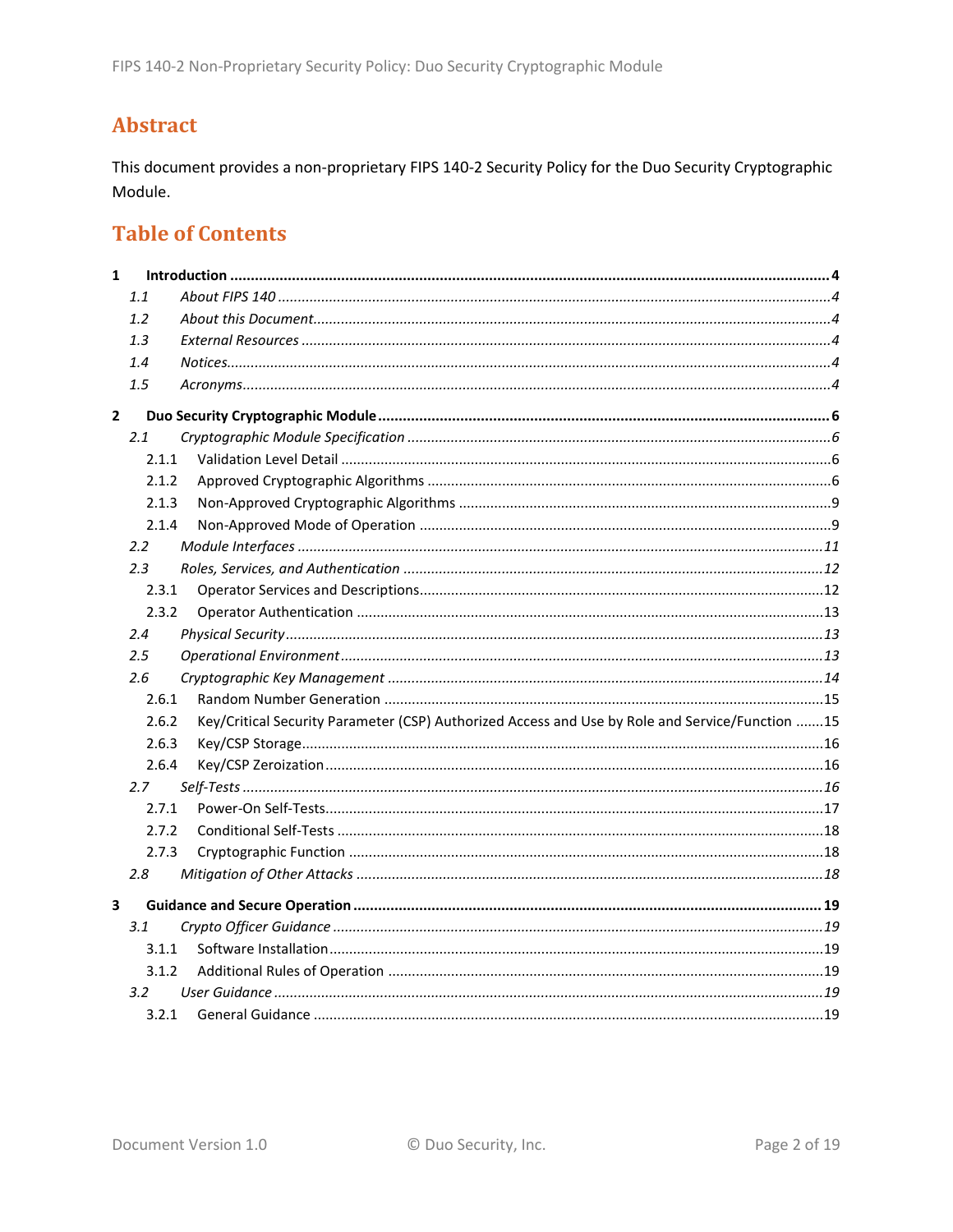## **Abstract**

This document provides a non-proprietary FIPS 140-2 Security Policy for the Duo Security Cryptographic Module.

## **Table of Contents**

| $\mathbf{1}$ |               |                                                                                                 |  |
|--------------|---------------|-------------------------------------------------------------------------------------------------|--|
|              | 1.1           |                                                                                                 |  |
|              | 1.2           |                                                                                                 |  |
|              | 1.3           |                                                                                                 |  |
|              | 1.4           |                                                                                                 |  |
|              | 1.5           |                                                                                                 |  |
| $\mathbf{2}$ |               |                                                                                                 |  |
|              | 2.1           |                                                                                                 |  |
|              | 2.1.1         |                                                                                                 |  |
|              | 2.1.2         |                                                                                                 |  |
|              | 2.1.3         |                                                                                                 |  |
|              | 2.1.4         |                                                                                                 |  |
|              | $2.2^{\circ}$ |                                                                                                 |  |
|              | 2.3           |                                                                                                 |  |
|              | 2.3.1         |                                                                                                 |  |
|              | 2.3.2         |                                                                                                 |  |
|              | 2.4           |                                                                                                 |  |
|              | 2.5           |                                                                                                 |  |
|              | 2.6           |                                                                                                 |  |
|              | 2.6.1         |                                                                                                 |  |
|              | 2.6.2         | Key/Critical Security Parameter (CSP) Authorized Access and Use by Role and Service/Function 15 |  |
|              | 2.6.3         |                                                                                                 |  |
|              | 2.6.4         |                                                                                                 |  |
|              | 2.7           |                                                                                                 |  |
|              | 2.7.1         |                                                                                                 |  |
|              | 2.7.2         |                                                                                                 |  |
|              | 2.7.3         |                                                                                                 |  |
|              | 2.8           |                                                                                                 |  |
| 3            |               |                                                                                                 |  |
|              | 3.1           |                                                                                                 |  |
|              | 3.1.1         |                                                                                                 |  |
|              | 3.1.2         |                                                                                                 |  |
|              | 3.2           |                                                                                                 |  |
|              | 3.2.1         |                                                                                                 |  |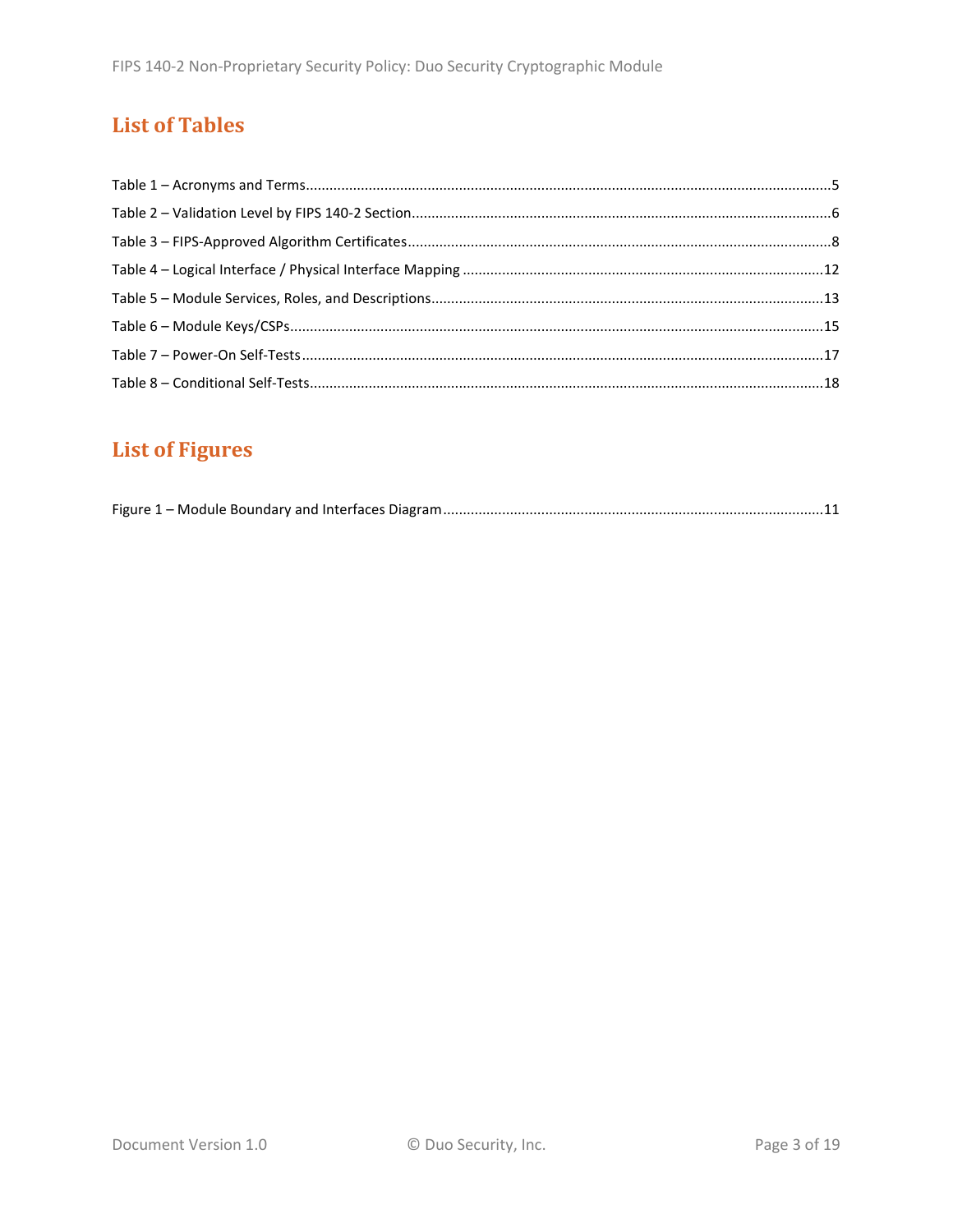## **List of Tables**

# **List of Figures**

|--|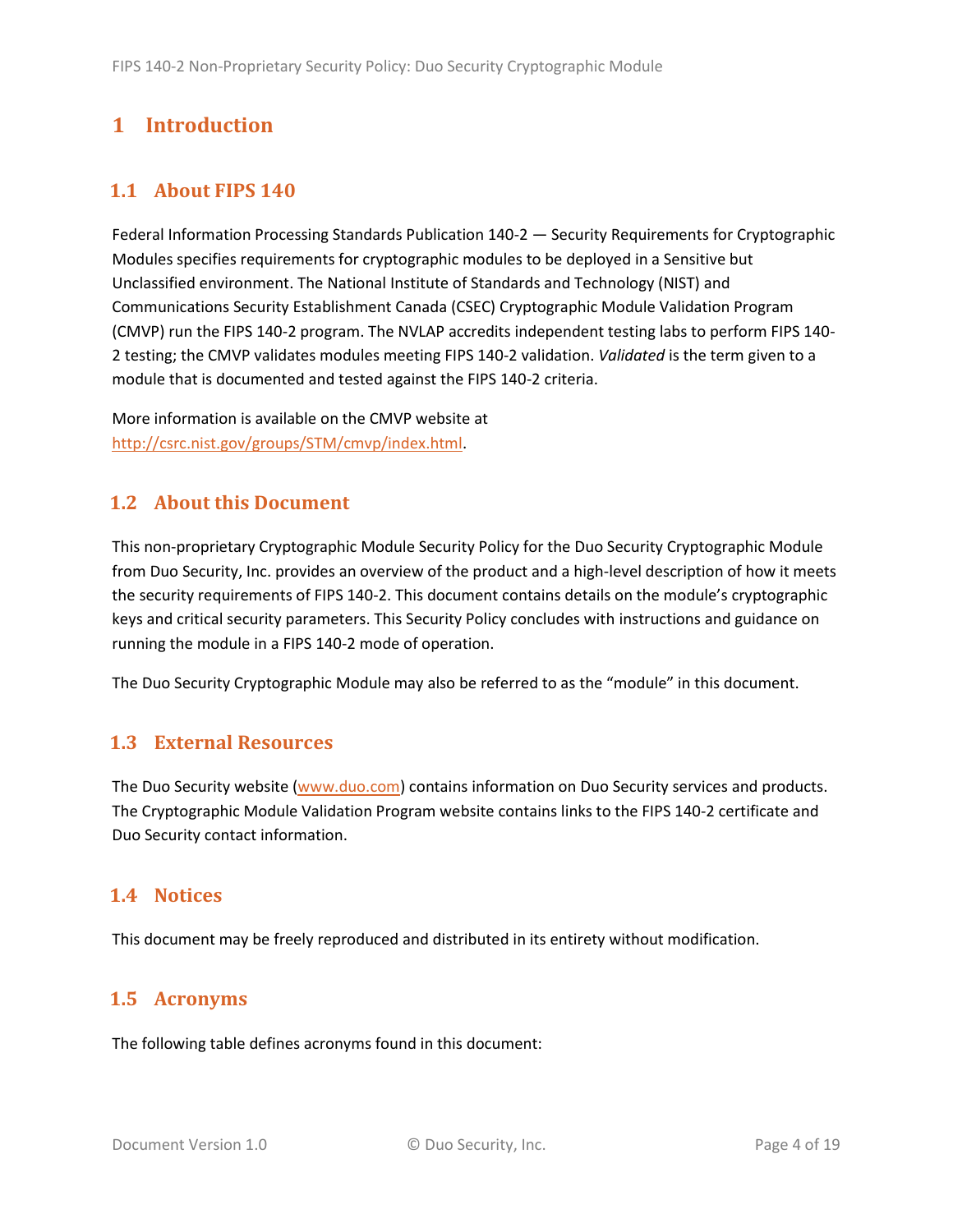## <span id="page-3-0"></span>**1 Introduction**

## <span id="page-3-1"></span>**1.1 About FIPS 140**

Federal Information Processing Standards Publication 140-2 — Security Requirements for Cryptographic Modules specifies requirements for cryptographic modules to be deployed in a Sensitive but Unclassified environment. The National Institute of Standards and Technology (NIST) and Communications Security Establishment Canada (CSEC) Cryptographic Module Validation Program (CMVP) run the FIPS 140-2 program. The NVLAP accredits independent testing labs to perform FIPS 140- 2 testing; the CMVP validates modules meeting FIPS 140-2 validation. *Validated* is the term given to a module that is documented and tested against the FIPS 140-2 criteria.

More information is available on the CMVP website at [http://csrc.nist.gov/groups/STM/cmvp/index.html.](http://csrc.nist.gov/groups/STM/cmvp/index.html)

## <span id="page-3-2"></span>**1.2 About this Document**

This non-proprietary Cryptographic Module Security Policy for the Duo Security Cryptographic Module from Duo Security, Inc. provides an overview of the product and a high-level description of how it meets the security requirements of FIPS 140-2. This document contains details on the module's cryptographic keys and critical security parameters. This Security Policy concludes with instructions and guidance on running the module in a FIPS 140-2 mode of operation.

The Duo Security Cryptographic Module may also be referred to as the "module" in this document.

## <span id="page-3-3"></span>**1.3 External Resources**

The Duo Security website [\(www.duo.com\)](http://www.duo.com/) contains information on Duo Security services and products. The Cryptographic Module Validation Program website contains links to the FIPS 140-2 certificate and Duo Security contact information.

#### <span id="page-3-4"></span>**1.4 Notices**

This document may be freely reproduced and distributed in its entirety without modification.

## <span id="page-3-5"></span>**1.5 Acronyms**

The following table defines acronyms found in this document: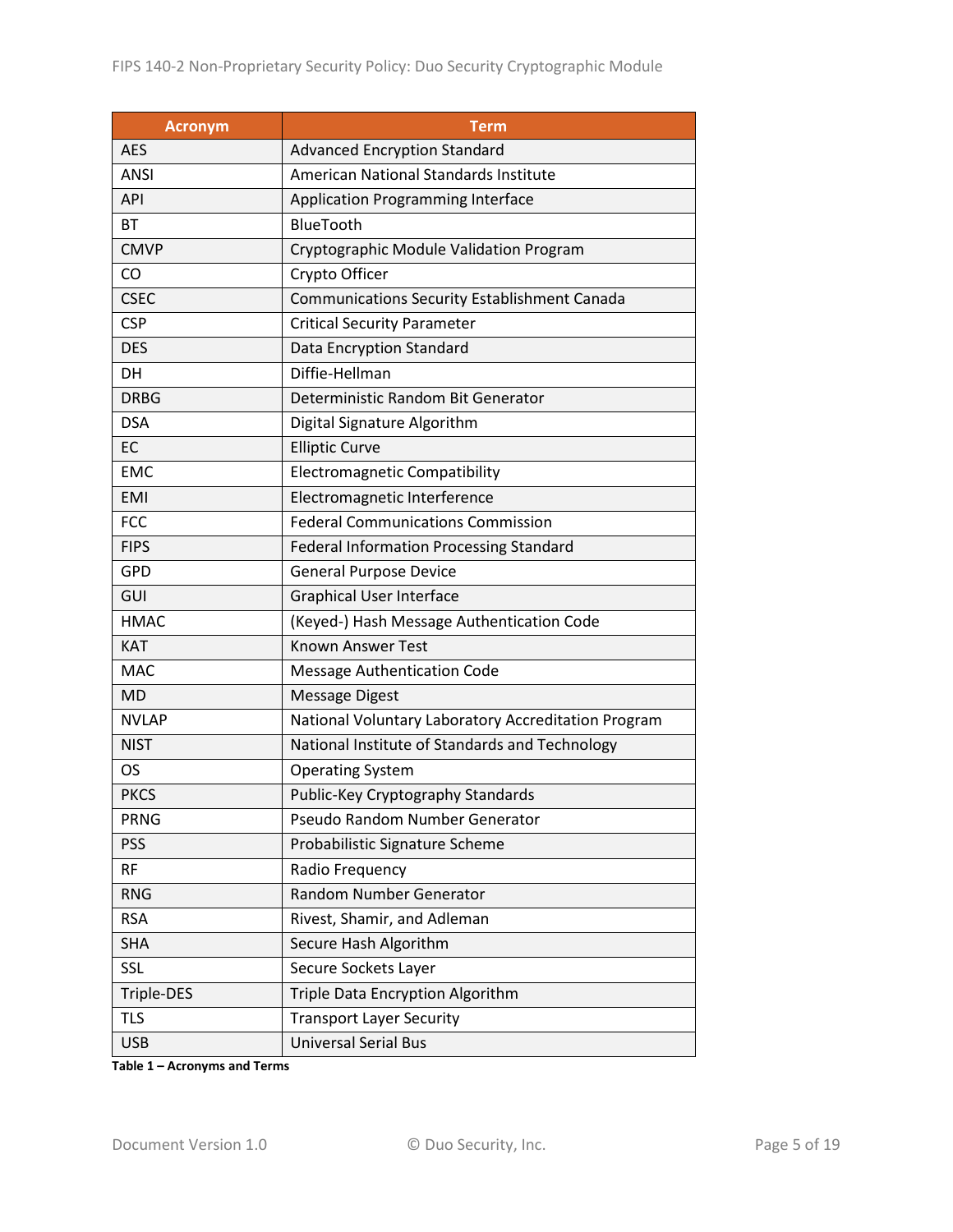| <b>Acronym</b> | <b>Term</b>                                         |  |  |  |
|----------------|-----------------------------------------------------|--|--|--|
| <b>AES</b>     | <b>Advanced Encryption Standard</b>                 |  |  |  |
| ANSI           | American National Standards Institute               |  |  |  |
| API            | <b>Application Programming Interface</b>            |  |  |  |
| BT             | <b>BlueTooth</b>                                    |  |  |  |
| <b>CMVP</b>    | Cryptographic Module Validation Program             |  |  |  |
| CO             | Crypto Officer                                      |  |  |  |
| <b>CSEC</b>    | <b>Communications Security Establishment Canada</b> |  |  |  |
| <b>CSP</b>     | <b>Critical Security Parameter</b>                  |  |  |  |
| <b>DES</b>     | <b>Data Encryption Standard</b>                     |  |  |  |
| DH             | Diffie-Hellman                                      |  |  |  |
| <b>DRBG</b>    | Deterministic Random Bit Generator                  |  |  |  |
| <b>DSA</b>     | Digital Signature Algorithm                         |  |  |  |
| EC             | <b>Elliptic Curve</b>                               |  |  |  |
| <b>EMC</b>     | <b>Electromagnetic Compatibility</b>                |  |  |  |
| <b>EMI</b>     | Electromagnetic Interference                        |  |  |  |
| <b>FCC</b>     | <b>Federal Communications Commission</b>            |  |  |  |
| <b>FIPS</b>    | <b>Federal Information Processing Standard</b>      |  |  |  |
| <b>GPD</b>     | <b>General Purpose Device</b>                       |  |  |  |
| GUI            | <b>Graphical User Interface</b>                     |  |  |  |
| <b>HMAC</b>    | (Keyed-) Hash Message Authentication Code           |  |  |  |
| <b>KAT</b>     | <b>Known Answer Test</b>                            |  |  |  |
| <b>MAC</b>     | <b>Message Authentication Code</b>                  |  |  |  |
| <b>MD</b>      | <b>Message Digest</b>                               |  |  |  |
| <b>NVLAP</b>   | National Voluntary Laboratory Accreditation Program |  |  |  |
| <b>NIST</b>    | National Institute of Standards and Technology      |  |  |  |
| OS             | <b>Operating System</b>                             |  |  |  |
| <b>PKCS</b>    | Public-Key Cryptography Standards                   |  |  |  |
| <b>PRNG</b>    | Pseudo Random Number Generator                      |  |  |  |
| <b>PSS</b>     | Probabilistic Signature Scheme                      |  |  |  |
| <b>RF</b>      | Radio Frequency                                     |  |  |  |
| <b>RNG</b>     | Random Number Generator                             |  |  |  |
| <b>RSA</b>     | Rivest, Shamir, and Adleman                         |  |  |  |
| <b>SHA</b>     | Secure Hash Algorithm                               |  |  |  |
| <b>SSL</b>     | Secure Sockets Layer                                |  |  |  |
| Triple-DES     | Triple Data Encryption Algorithm                    |  |  |  |
| <b>TLS</b>     | <b>Transport Layer Security</b>                     |  |  |  |
| <b>USB</b>     | <b>Universal Serial Bus</b>                         |  |  |  |

**Table 1 – Acronyms and Terms**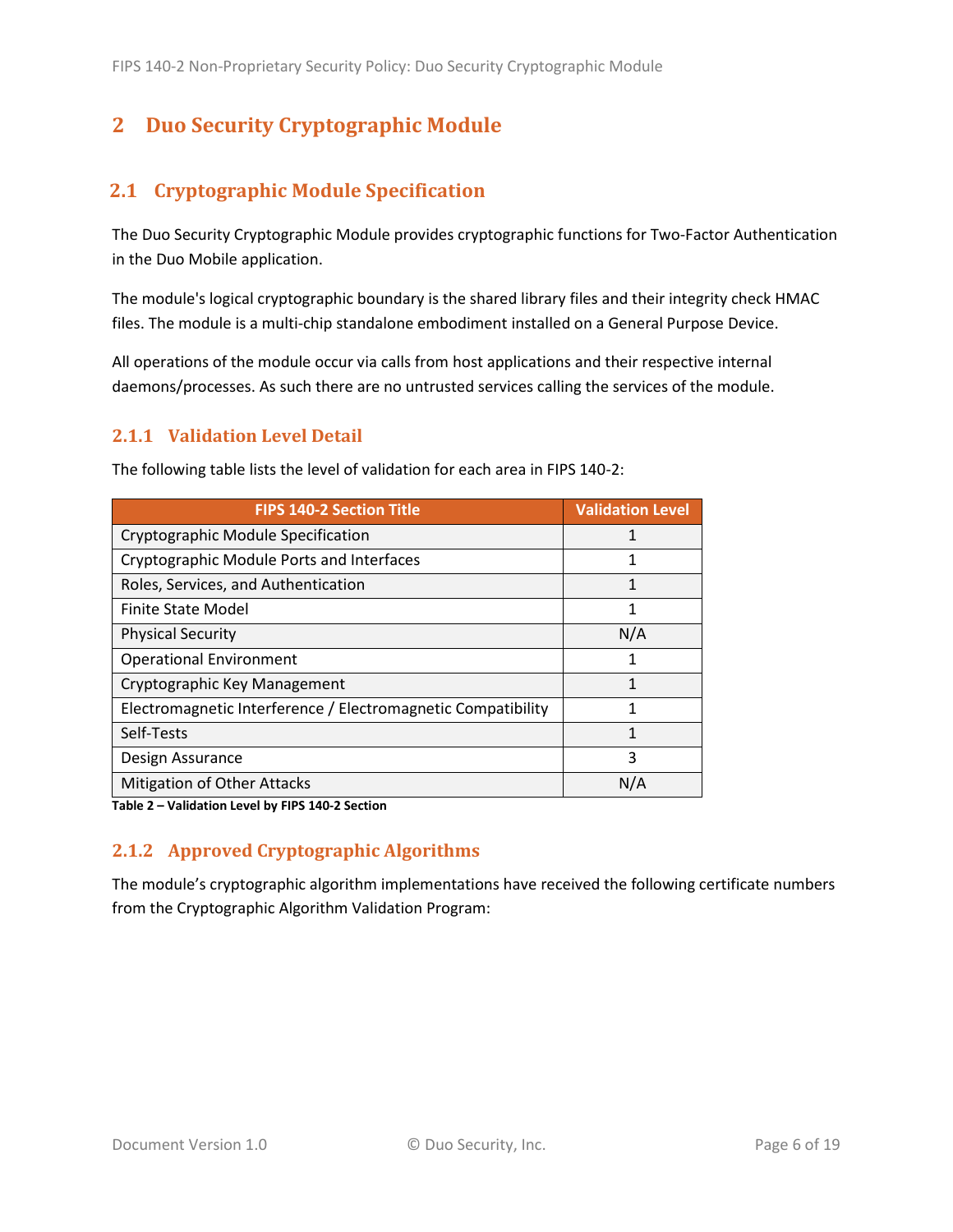## <span id="page-5-0"></span>**2 Duo Security Cryptographic Module**

## <span id="page-5-1"></span>**2.1 Cryptographic Module Specification**

The Duo Security Cryptographic Module provides cryptographic functions for Two-Factor Authentication in the Duo Mobile application.

The module's logical cryptographic boundary is the shared library files and their integrity check HMAC files. The module is a multi-chip standalone embodiment installed on a General Purpose Device.

All operations of the module occur via calls from host applications and their respective internal daemons/processes. As such there are no untrusted services calling the services of the module.

#### <span id="page-5-2"></span>**2.1.1 Validation Level Detail**

| <b>FIPS 140-2 Section Title</b>                              | <b>Validation Level</b> |
|--------------------------------------------------------------|-------------------------|
| Cryptographic Module Specification                           |                         |
| Cryptographic Module Ports and Interfaces                    | 1                       |
| Roles, Services, and Authentication                          |                         |
| <b>Finite State Model</b>                                    | 1                       |
| <b>Physical Security</b>                                     | N/A                     |
| <b>Operational Environment</b>                               | 1                       |
| Cryptographic Key Management                                 |                         |
| Electromagnetic Interference / Electromagnetic Compatibility | 1                       |
| Self-Tests                                                   | 1                       |
| Design Assurance                                             | ξ                       |
| <b>Mitigation of Other Attacks</b>                           | N/A                     |

The following table lists the level of validation for each area in FIPS 140-2:

**Table 2 – Validation Level by FIPS 140-2 Section**

## <span id="page-5-3"></span>**2.1.2 Approved Cryptographic Algorithms**

The module's cryptographic algorithm implementations have received the following certificate numbers from the Cryptographic Algorithm Validation Program: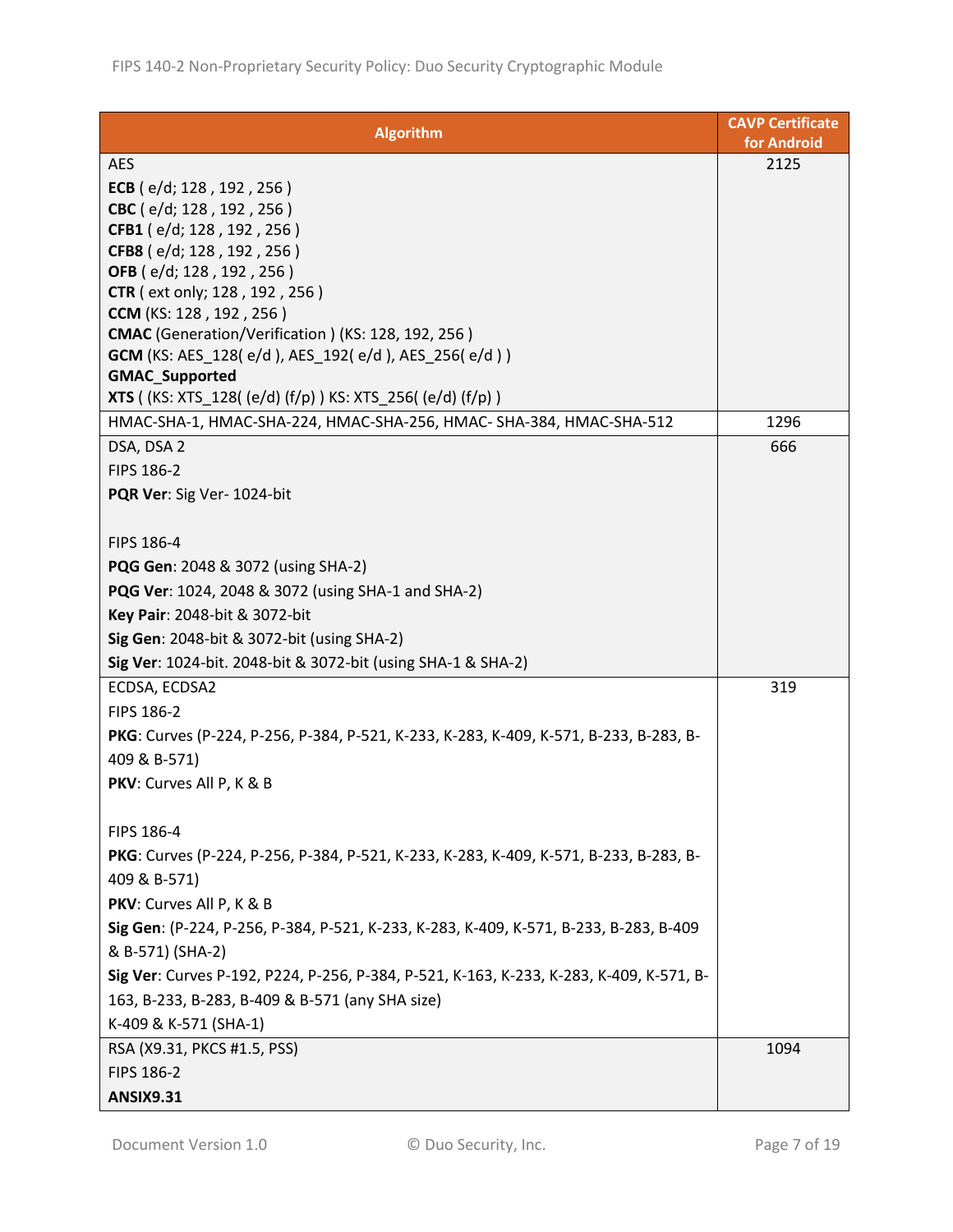| <b>Algorithm</b>                                                                                                                                                                                                                                         | <b>CAVP Certificate</b><br>for Android |
|----------------------------------------------------------------------------------------------------------------------------------------------------------------------------------------------------------------------------------------------------------|----------------------------------------|
| <b>AES</b>                                                                                                                                                                                                                                               | 2125                                   |
| ECB $(e/d; 128, 192, 256)$                                                                                                                                                                                                                               |                                        |
| CBC (e/d; 128, 192, 256)                                                                                                                                                                                                                                 |                                        |
| CFB1 (e/d; 128, 192, 256)                                                                                                                                                                                                                                |                                        |
| CFB8 (e/d; 128, 192, 256)                                                                                                                                                                                                                                |                                        |
| OFB (e/d; 128, 192, 256)                                                                                                                                                                                                                                 |                                        |
| <b>CTR</b> (ext only; 128, 192, 256)                                                                                                                                                                                                                     |                                        |
| <b>CCM</b> (KS: 128, 192, 256)                                                                                                                                                                                                                           |                                        |
| <b>CMAC</b> (Generation/Verification) (KS: 128, 192, 256)                                                                                                                                                                                                |                                        |
| <b>GCM</b> (KS: AES_128( e/d ), AES_192( e/d ), AES_256( e/d ) )<br><b>GMAC_Supported</b>                                                                                                                                                                |                                        |
| <b>XTS</b> ( (KS: XTS_128( (e/d) (f/p) ) KS: XTS_256( (e/d) (f/p) )                                                                                                                                                                                      |                                        |
| HMAC-SHA-1, HMAC-SHA-224, HMAC-SHA-256, HMAC- SHA-384, HMAC-SHA-512                                                                                                                                                                                      | 1296                                   |
| DSA, DSA 2                                                                                                                                                                                                                                               | 666                                    |
| FIPS 186-2                                                                                                                                                                                                                                               |                                        |
|                                                                                                                                                                                                                                                          |                                        |
| PQR Ver: Sig Ver- 1024-bit                                                                                                                                                                                                                               |                                        |
| FIPS 186-4                                                                                                                                                                                                                                               |                                        |
| <b>PQG Gen:</b> 2048 & 3072 (using SHA-2)                                                                                                                                                                                                                |                                        |
| PQG Ver: 1024, 2048 & 3072 (using SHA-1 and SHA-2)                                                                                                                                                                                                       |                                        |
| Key Pair: 2048-bit & 3072-bit                                                                                                                                                                                                                            |                                        |
| Sig Gen: 2048-bit & 3072-bit (using SHA-2)                                                                                                                                                                                                               |                                        |
| Sig Ver: 1024-bit. 2048-bit & 3072-bit (using SHA-1 & SHA-2)                                                                                                                                                                                             |                                        |
| ECDSA, ECDSA2                                                                                                                                                                                                                                            | 319                                    |
| <b>FIPS 186-2</b>                                                                                                                                                                                                                                        |                                        |
| PKG: Curves (P-224, P-256, P-384, P-521, K-233, K-283, K-409, K-571, B-233, B-283, B-                                                                                                                                                                    |                                        |
| 409 & B-571)                                                                                                                                                                                                                                             |                                        |
| PKV: Curves All P, K & B                                                                                                                                                                                                                                 |                                        |
|                                                                                                                                                                                                                                                          |                                        |
| FIPS 186-4                                                                                                                                                                                                                                               |                                        |
| PKG: Curves (P-224, P-256, P-384, P-521, K-233, K-283, K-409, K-571, B-233, B-283, B-                                                                                                                                                                    |                                        |
| 409 & B-571)                                                                                                                                                                                                                                             |                                        |
| PKV: Curves All P, K & B                                                                                                                                                                                                                                 |                                        |
| Sig Gen: (P-224, P-256, P-384, P-521, K-233, K-283, K-409, K-571, B-233, B-283, B-409                                                                                                                                                                    |                                        |
|                                                                                                                                                                                                                                                          |                                        |
|                                                                                                                                                                                                                                                          |                                        |
|                                                                                                                                                                                                                                                          |                                        |
|                                                                                                                                                                                                                                                          |                                        |
|                                                                                                                                                                                                                                                          |                                        |
|                                                                                                                                                                                                                                                          |                                        |
|                                                                                                                                                                                                                                                          |                                        |
| & B-571) (SHA-2)<br>Sig Ver: Curves P-192, P224, P-256, P-384, P-521, K-163, K-233, K-283, K-409, K-571, B-<br>163, B-233, B-283, B-409 & B-571 (any SHA size)<br>K-409 & K-571 (SHA-1)<br>RSA (X9.31, PKCS #1.5, PSS)<br>FIPS 186-2<br><b>ANSIX9.31</b> | 1094                                   |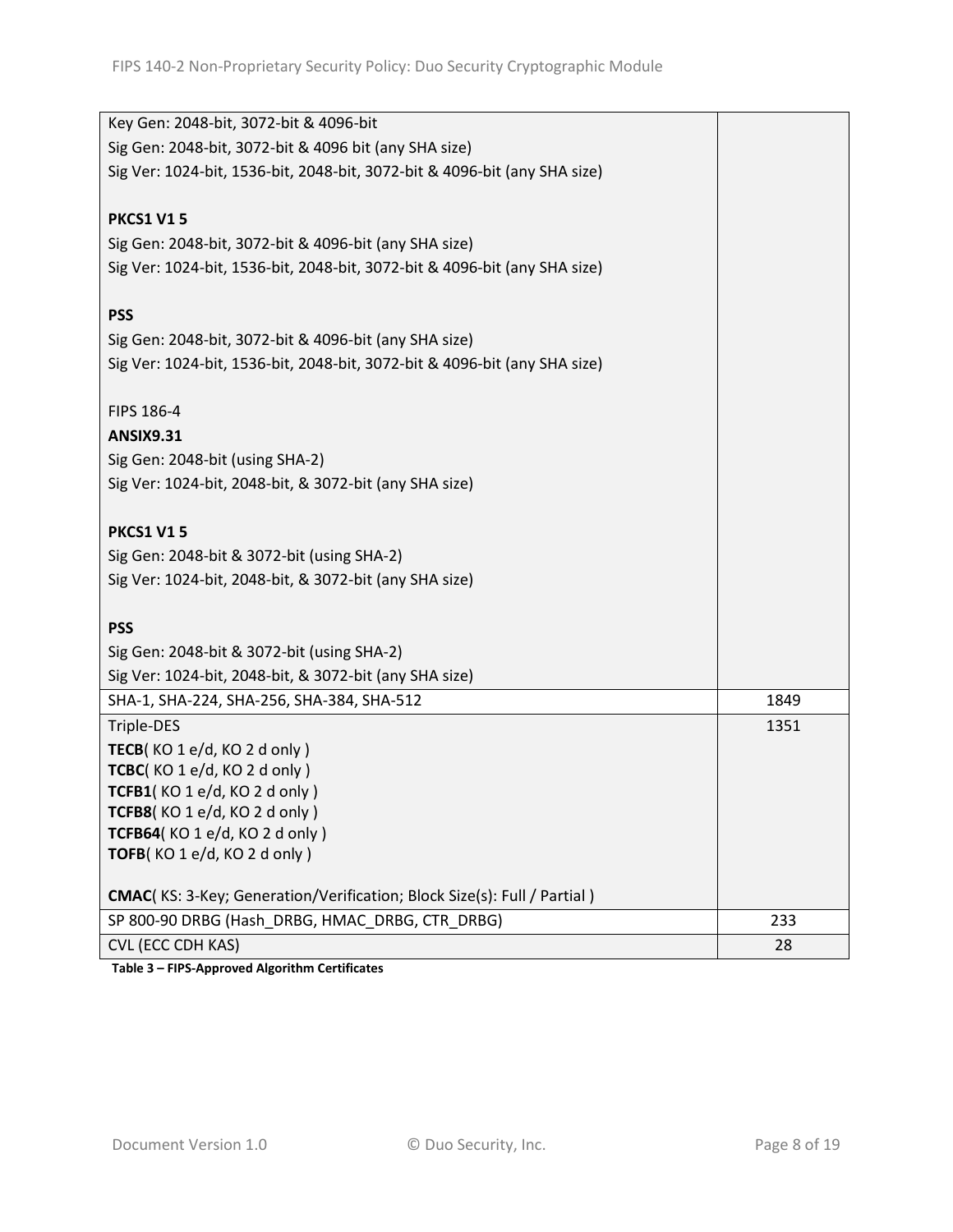| Key Gen: 2048-bit, 3072-bit & 4096-bit                                    |      |
|---------------------------------------------------------------------------|------|
| Sig Gen: 2048-bit, 3072-bit & 4096 bit (any SHA size)                     |      |
| Sig Ver: 1024-bit, 1536-bit, 2048-bit, 3072-bit & 4096-bit (any SHA size) |      |
|                                                                           |      |
| <b>PKCS1 V15</b>                                                          |      |
| Sig Gen: 2048-bit, 3072-bit & 4096-bit (any SHA size)                     |      |
| Sig Ver: 1024-bit, 1536-bit, 2048-bit, 3072-bit & 4096-bit (any SHA size) |      |
|                                                                           |      |
| <b>PSS</b>                                                                |      |
| Sig Gen: 2048-bit, 3072-bit & 4096-bit (any SHA size)                     |      |
| Sig Ver: 1024-bit, 1536-bit, 2048-bit, 3072-bit & 4096-bit (any SHA size) |      |
|                                                                           |      |
| FIPS 186-4                                                                |      |
| <b>ANSIX9.31</b>                                                          |      |
| Sig Gen: 2048-bit (using SHA-2)                                           |      |
| Sig Ver: 1024-bit, 2048-bit, & 3072-bit (any SHA size)                    |      |
|                                                                           |      |
| <b>PKCS1 V15</b>                                                          |      |
| Sig Gen: 2048-bit & 3072-bit (using SHA-2)                                |      |
| Sig Ver: 1024-bit, 2048-bit, & 3072-bit (any SHA size)                    |      |
|                                                                           |      |
| <b>PSS</b>                                                                |      |
| Sig Gen: 2048-bit & 3072-bit (using SHA-2)                                |      |
| Sig Ver: 1024-bit, 2048-bit, & 3072-bit (any SHA size)                    |      |
| SHA-1, SHA-224, SHA-256, SHA-384, SHA-512                                 | 1849 |
| Triple-DES                                                                | 1351 |
| TECB(KO 1 e/d, KO 2 d only)                                               |      |
| TCBC(KO1e/d, KO2d only)                                                   |      |
| TCFB1(KO 1 e/d, KO 2 d only)                                              |      |
| TCFB8(KO1e/d, KO2d only)                                                  |      |
| TCFB64(KO 1 e/d, KO 2 d only)                                             |      |
| TOFB(KO 1 e/d, KO 2 d only)                                               |      |
| CMAC(KS: 3-Key; Generation/Verification; Block Size(s): Full / Partial)   |      |
| SP 800-90 DRBG (Hash DRBG, HMAC DRBG, CTR DRBG)                           | 233  |
| <b>CVL (ECC CDH KAS)</b>                                                  | 28   |
|                                                                           |      |

**Table 3 – FIPS-Approved Algorithm Certificates**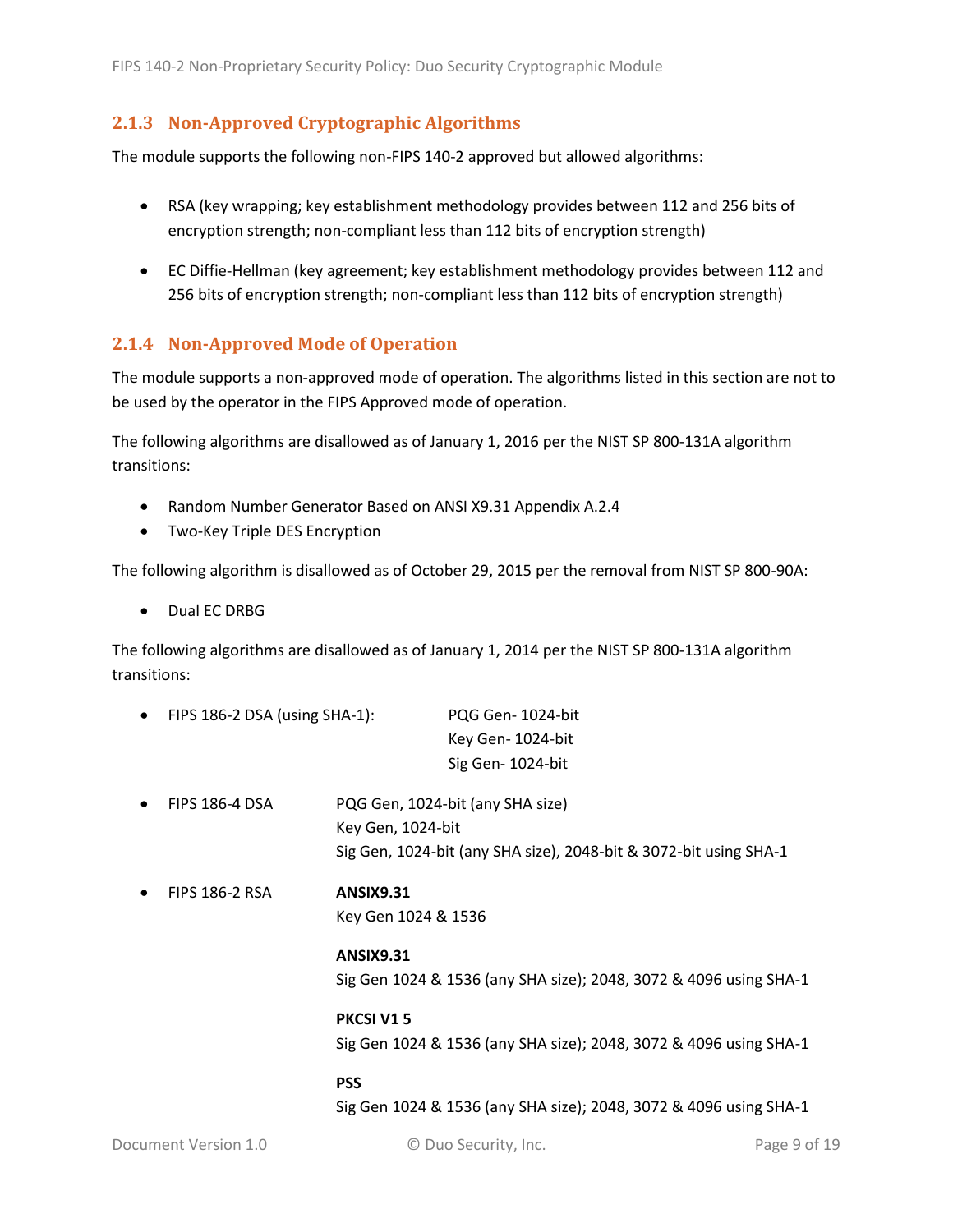#### <span id="page-8-0"></span>**2.1.3 Non-Approved Cryptographic Algorithms**

The module supports the following non-FIPS 140-2 approved but allowed algorithms:

- RSA (key wrapping; key establishment methodology provides between 112 and 256 bits of encryption strength; non-compliant less than 112 bits of encryption strength)
- EC Diffie-Hellman (key agreement; key establishment methodology provides between 112 and 256 bits of encryption strength; non-compliant less than 112 bits of encryption strength)

#### <span id="page-8-1"></span>**2.1.4 Non-Approved Mode of Operation**

The module supports a non-approved mode of operation. The algorithms listed in this section are not to be used by the operator in the FIPS Approved mode of operation.

The following algorithms are disallowed as of January 1, 2016 per the NIST SP 800-131A algorithm transitions:

- Random Number Generator Based on ANSI X9.31 Appendix A.2.4
- Two-Key Triple DES Encryption

The following algorithm is disallowed as of October 29, 2015 per the removal from NIST SP 800-90A:

Dual EC DRBG

The following algorithms are disallowed as of January 1, 2014 per the NIST SP 800-131A algorithm transitions:

|           |                               | <b>PSS</b>          |                                                                   |
|-----------|-------------------------------|---------------------|-------------------------------------------------------------------|
|           |                               |                     | Sig Gen 1024 & 1536 (any SHA size); 2048, 3072 & 4096 using SHA-1 |
|           | <b>PKCSI V15</b>              |                     |                                                                   |
|           |                               |                     | Sig Gen 1024 & 1536 (any SHA size); 2048, 3072 & 4096 using SHA-1 |
|           |                               | <b>ANSIX9.31</b>    |                                                                   |
|           |                               | Key Gen 1024 & 1536 |                                                                   |
| $\bullet$ | <b>FIPS 186-2 RSA</b>         | <b>ANSIX9.31</b>    |                                                                   |
|           |                               |                     | Sig Gen, 1024-bit (any SHA size), 2048-bit & 3072-bit using SHA-1 |
|           |                               | Key Gen, 1024-bit   |                                                                   |
| $\bullet$ | <b>FIPS 186-4 DSA</b>         |                     | PQG Gen, 1024-bit (any SHA size)                                  |
|           |                               |                     | Sig Gen-1024-bit                                                  |
|           |                               |                     | Key Gen-1024-bit                                                  |
| $\bullet$ | FIPS 186-2 DSA (using SHA-1): |                     | PQG Gen-1024-bit                                                  |

Sig Gen 1024 & 1536 (any SHA size); 2048, 3072 & 4096 using SHA-1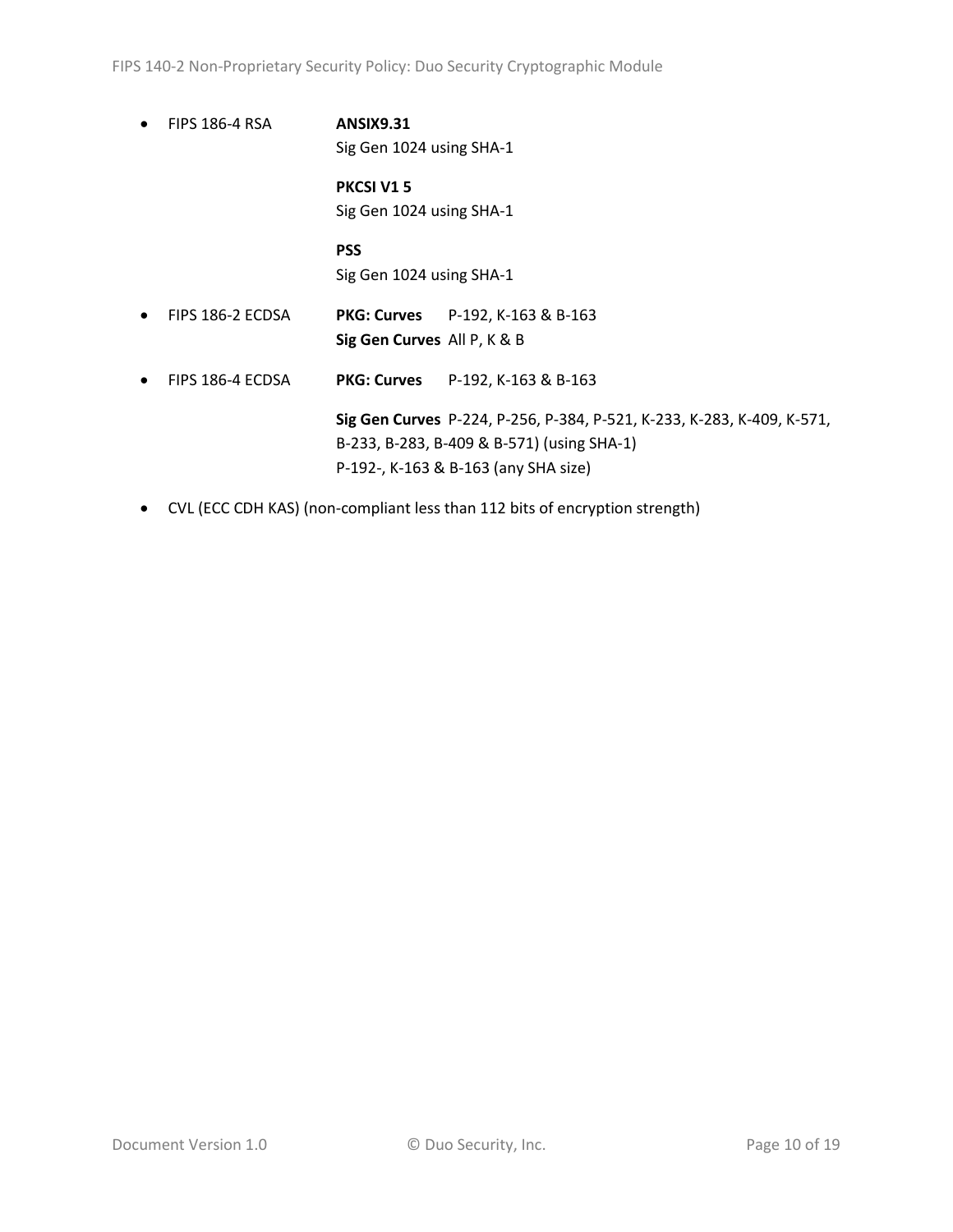- FIPS 186-4 RSA **ANSIX9.31** Sig Gen 1024 using SHA-1 **PKCSI V1 5** Sig Gen 1024 using SHA-1 **PSS** Sig Gen 1024 using SHA-1 FIPS 186-2 ECDSA **PKG: Curves** P-192, K-163 & B-163 **Sig Gen Curves** All P, K & B FIPS 186-4 ECDSA **PKG: Curves** P-192, K-163 & B-163 **Sig Gen Curves** P-224, P-256, P-384, P-521, K-233, K-283, K-409, K-571, B-233, B-283, B-409 & B-571) (using SHA-1) P-192-, K-163 & B-163 (any SHA size)
- CVL (ECC CDH KAS) (non-compliant less than 112 bits of encryption strength)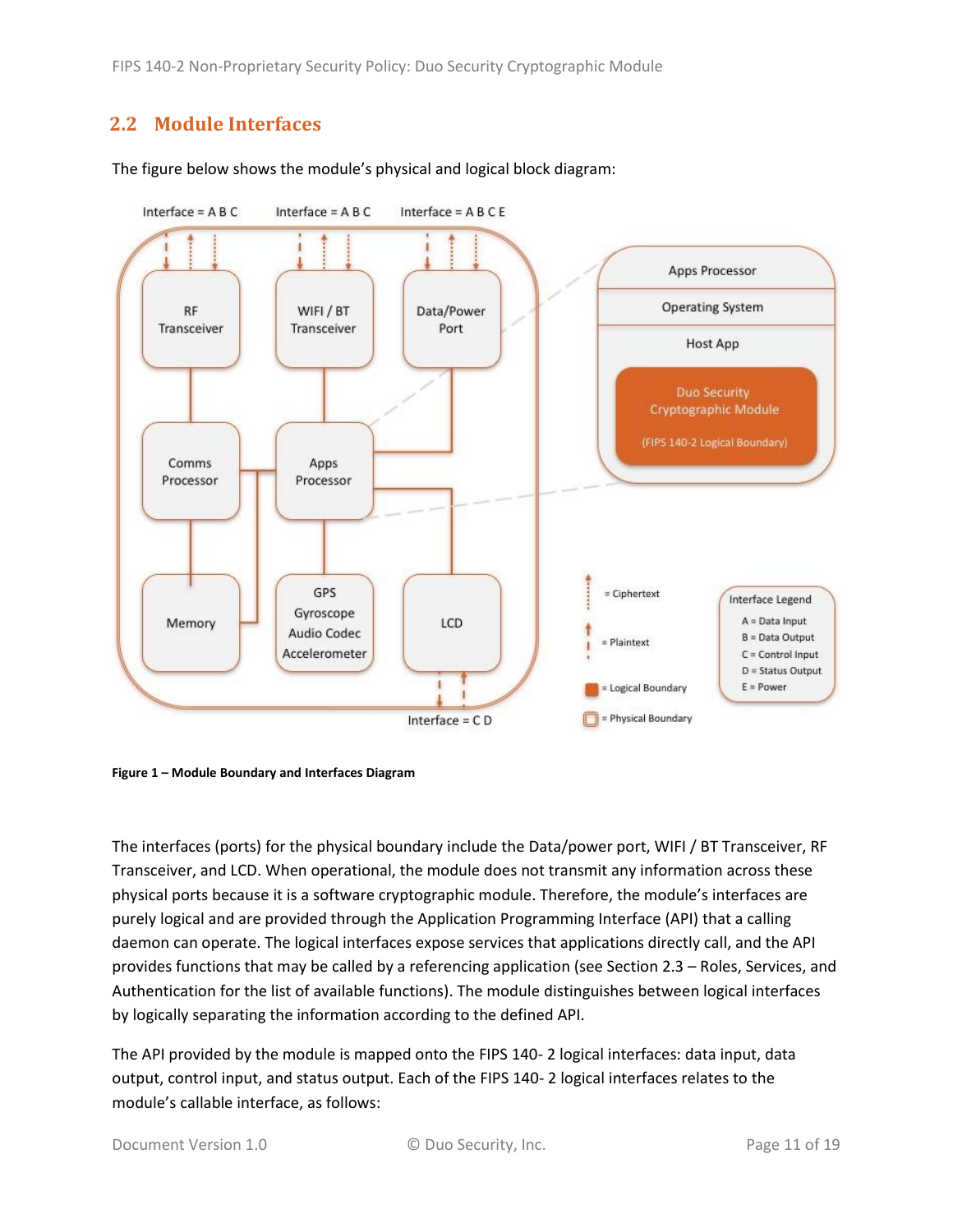FIPS 140-2 Non-Proprietary Security Policy: Duo Security Cryptographic Module

## <span id="page-10-0"></span>**2.2 Module Interfaces**



The figure below shows the module's physical and logical block diagram:

<span id="page-10-1"></span>**Figure 1 – Module Boundary and Interfaces Diagram**

The interfaces (ports) for the physical boundary include the Data/power port, WIFI / BT Transceiver, RF Transceiver, and LCD. When operational, the module does not transmit any information across these physical ports because it is a software cryptographic module. Therefore, the module's interfaces are purely logical and are provided through the Application Programming Interface (API) that a calling daemon can operate. The logical interfaces expose services that applications directly call, and the API provides functions that may be called by a referencing application (see Sectio[n 2.3](#page-11-0) – [Roles, Services, and](#page-11-0)  [Authentication](#page-11-0) for the list of available functions). The module distinguishes between logical interfaces by logically separating the information according to the defined API.

The API provided by the module is mapped onto the FIPS 140- 2 logical interfaces: data input, data output, control input, and status output. Each of the FIPS 140- 2 logical interfaces relates to the module's callable interface, as follows: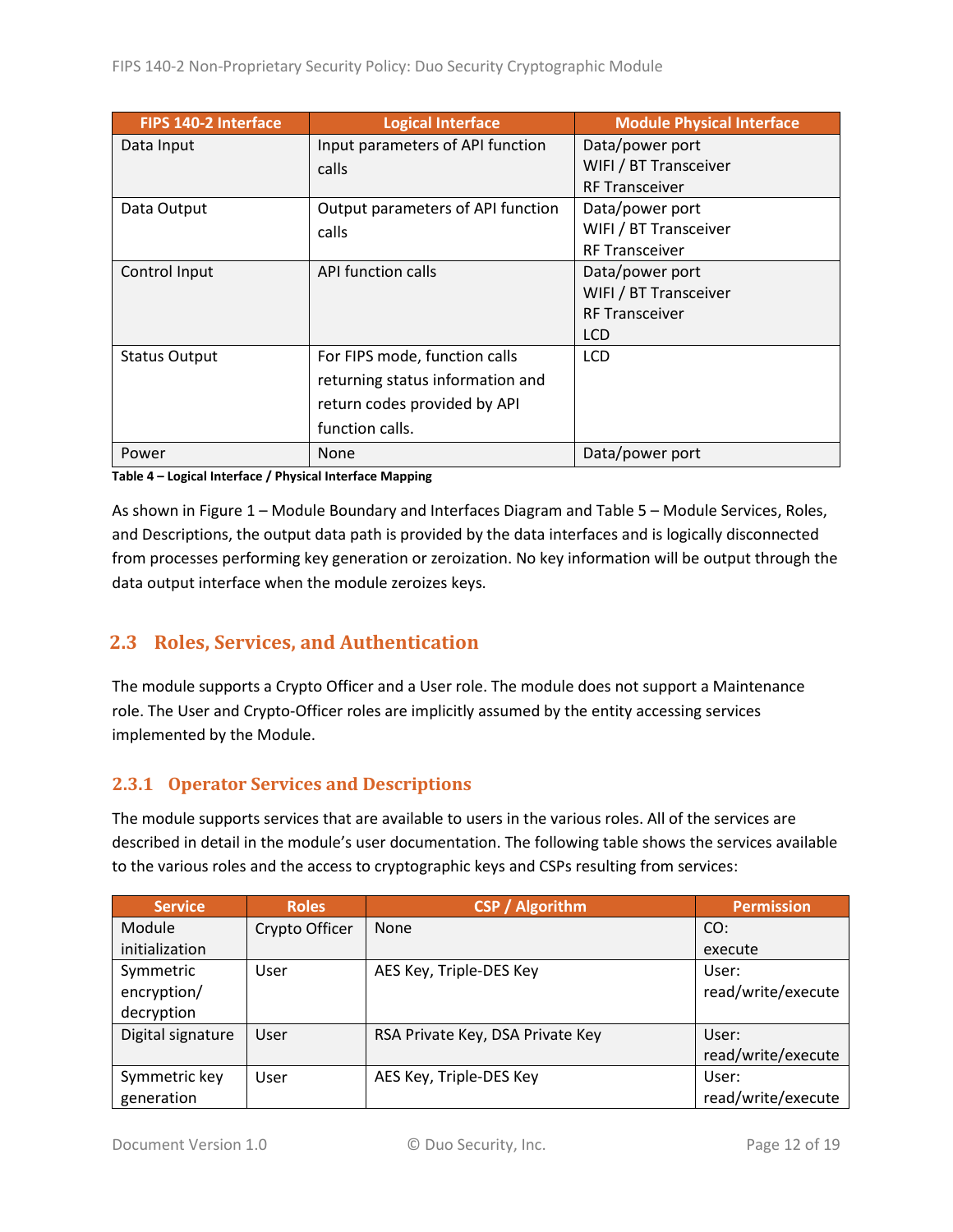| FIPS 140-2 Interface | <b>Logical Interface</b>          | <b>Module Physical Interface</b> |
|----------------------|-----------------------------------|----------------------------------|
| Data Input           | Input parameters of API function  | Data/power port                  |
|                      | calls                             | WIFI / BT Transceiver            |
|                      |                                   | <b>RF Transceiver</b>            |
| Data Output          | Output parameters of API function | Data/power port                  |
|                      | calls                             | WIFI / BT Transceiver            |
|                      |                                   | <b>RF Transceiver</b>            |
| Control Input        | API function calls                | Data/power port                  |
|                      |                                   | WIFI / BT Transceiver            |
|                      |                                   | <b>RF Transceiver</b>            |
|                      |                                   | <b>LCD</b>                       |
| <b>Status Output</b> | For FIPS mode, function calls     | <b>LCD</b>                       |
|                      | returning status information and  |                                  |
|                      | return codes provided by API      |                                  |
|                      | function calls.                   |                                  |
| Power                | <b>None</b>                       | Data/power port                  |

**Table 4 – Logical Interface / Physical Interface Mapping**

As shown in Figure 1 – [Module Boundary and Interfaces Diagram](#page-10-1) and Table 5 – [Module Services, Roles,](#page-12-3) [and Descriptions,](#page-12-3) the output data path is provided by the data interfaces and is logically disconnected from processes performing key generation or zeroization. No key information will be output through the data output interface when the module zeroizes keys.

## <span id="page-11-0"></span>**2.3 Roles, Services, and Authentication**

The module supports a Crypto Officer and a User role. The module does not support a Maintenance role. The User and Crypto-Officer roles are implicitly assumed by the entity accessing services implemented by the Module.

#### <span id="page-11-1"></span>**2.3.1 Operator Services and Descriptions**

The module supports services that are available to users in the various roles. All of the services are described in detail in the module's user documentation. The following table shows the services available to the various roles and the access to cryptographic keys and CSPs resulting from services:

| <b>Service</b>    | <b>Roles</b>   | <b>CSP / Algorithm</b>           | <b>Permission</b>  |
|-------------------|----------------|----------------------------------|--------------------|
| Module            | Crypto Officer | <b>None</b>                      | CO:                |
| initialization    |                |                                  | execute            |
| Symmetric         | User           | AES Key, Triple-DES Key          | User:              |
| encryption/       |                |                                  | read/write/execute |
| decryption        |                |                                  |                    |
| Digital signature | User           | RSA Private Key, DSA Private Key | User:              |
|                   |                |                                  | read/write/execute |
| Symmetric key     | User           | AES Key, Triple-DES Key          | User:              |
| generation        |                |                                  | read/write/execute |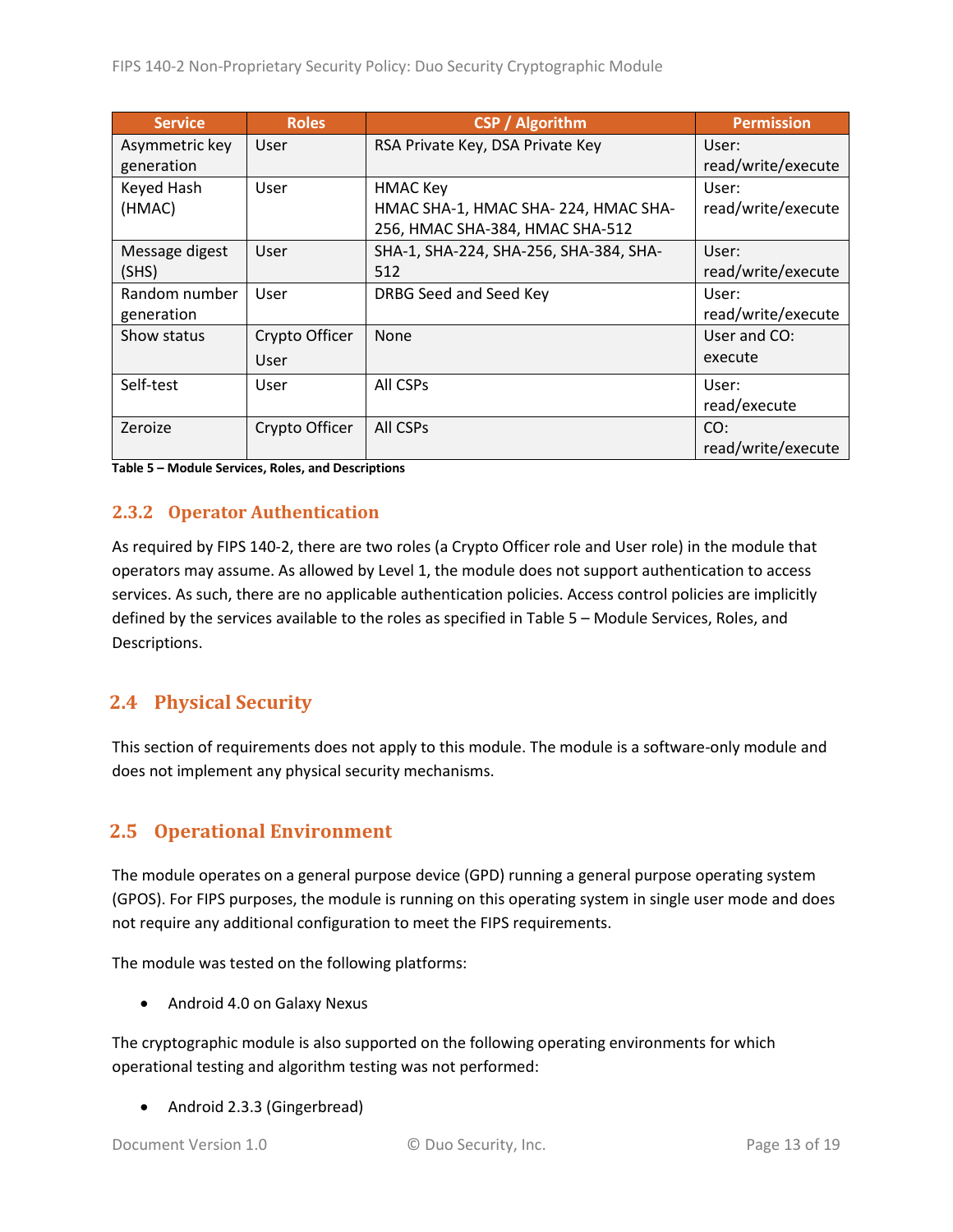| <b>Service</b> | <b>Roles</b>   | <b>CSP</b> / Algorithm                 | <b>Permission</b>  |
|----------------|----------------|----------------------------------------|--------------------|
| Asymmetric key | User           | RSA Private Key, DSA Private Key       | User:              |
| generation     |                |                                        | read/write/execute |
| Keyed Hash     | User           | <b>HMAC Key</b>                        | User:              |
| (HMAC)         |                | HMAC SHA-1, HMAC SHA-224, HMAC SHA-    | read/write/execute |
|                |                | 256, HMAC SHA-384, HMAC SHA-512        |                    |
| Message digest | User           | SHA-1, SHA-224, SHA-256, SHA-384, SHA- | User:              |
| (SHS)          |                | 512                                    | read/write/execute |
| Random number  | User           | DRBG Seed and Seed Key                 | User:              |
| generation     |                |                                        | read/write/execute |
| Show status    | Crypto Officer | <b>None</b>                            | User and CO:       |
|                | User           |                                        | execute            |
| Self-test      | User           | All CSPs                               | User:              |
|                |                |                                        | read/execute       |
| Zeroize        | Crypto Officer | All CSPs                               | CO:                |
|                |                |                                        | read/write/execute |

<span id="page-12-3"></span>**Table 5 – Module Services, Roles, and Descriptions**

#### <span id="page-12-0"></span>**2.3.2 Operator Authentication**

As required by FIPS 140-2, there are two roles (a Crypto Officer role and User role) in the module that operators may assume. As allowed by Level 1, the module does not support authentication to access services. As such, there are no applicable authentication policies. Access control policies are implicitly defined by the services available to the roles as specified in Table 5 – [Module Services, Roles,](#page-12-3) and [Descriptions.](#page-12-3)

## <span id="page-12-1"></span>**2.4 Physical Security**

This section of requirements does not apply to this module. The module is a software-only module and does not implement any physical security mechanisms.

## <span id="page-12-2"></span>**2.5 Operational Environment**

The module operates on a general purpose device (GPD) running a general purpose operating system (GPOS). For FIPS purposes, the module is running on this operating system in single user mode and does not require any additional configuration to meet the FIPS requirements.

The module was tested on the following platforms:

Android 4.0 on Galaxy Nexus

The cryptographic module is also supported on the following operating environments for which operational testing and algorithm testing was not performed:

• Android 2.3.3 (Gingerbread)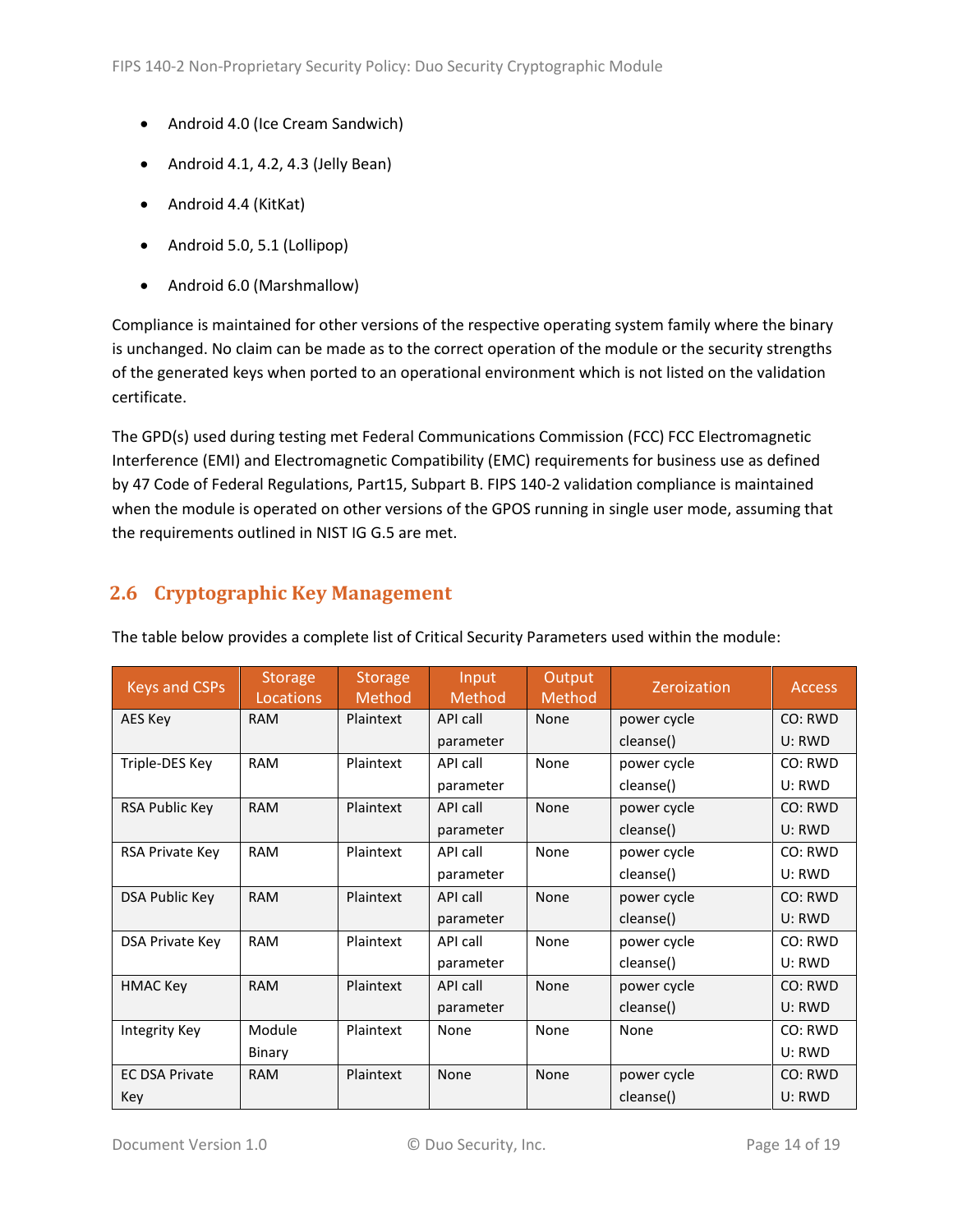- Android 4.0 (Ice Cream Sandwich)
- Android 4.1, 4.2, 4.3 (Jelly Bean)
- Android 4.4 (KitKat)
- Android 5.0, 5.1 (Lollipop)
- Android 6.0 (Marshmallow)

Compliance is maintained for other versions of the respective operating system family where the binary is unchanged. No claim can be made as to the correct operation of the module or the security strengths of the generated keys when ported to an operational environment which is not listed on the validation certificate.

The GPD(s) used during testing met Federal Communications Commission (FCC) FCC Electromagnetic Interference (EMI) and Electromagnetic Compatibility (EMC) requirements for business use as defined by 47 Code of Federal Regulations, Part15, Subpart B. FIPS 140-2 validation compliance is maintained when the module is operated on other versions of the GPOS running in single user mode, assuming that the requirements outlined in NIST IG G.5 are met.

## <span id="page-13-0"></span>**2.6 Cryptographic Key Management**

| <b>Keys and CSPs</b>  | <b>Storage</b><br>Locations | <b>Storage</b><br>Method | Input<br>Method | Output<br>Method | Zeroization | <b>Access</b> |
|-----------------------|-----------------------------|--------------------------|-----------------|------------------|-------------|---------------|
| AES Key               | <b>RAM</b>                  | Plaintext                | API call        | None             | power cycle | CO: RWD       |
|                       |                             |                          | parameter       |                  | cleanse()   | U: RWD        |
| Triple-DES Key        | <b>RAM</b>                  | Plaintext                | API call        | None             | power cycle | CO: RWD       |
|                       |                             |                          | parameter       |                  | cleanse()   | U: RWD        |
| RSA Public Key        | <b>RAM</b>                  | Plaintext                | API call        | None             | power cycle | CO: RWD       |
|                       |                             |                          | parameter       |                  | cleanse()   | U: RWD        |
| RSA Private Key       | <b>RAM</b>                  | Plaintext                | API call        | None             | power cycle | CO: RWD       |
|                       |                             |                          | parameter       |                  | cleanse()   | U: RWD        |
| DSA Public Key        | <b>RAM</b>                  | Plaintext                | API call        | None             | power cycle | CO: RWD       |
|                       |                             |                          | parameter       |                  | cleanse()   | U: RWD        |
| DSA Private Key       | <b>RAM</b>                  | Plaintext                | API call        | None             | power cycle | CO: RWD       |
|                       |                             |                          | parameter       |                  | cleanse()   | U: RWD        |
| <b>HMAC Key</b>       | <b>RAM</b>                  | Plaintext                | API call        | None             | power cycle | CO: RWD       |
|                       |                             |                          | parameter       |                  | cleanse()   | U: RWD        |
| Integrity Key         | Module                      | Plaintext                | None            | None             | None        | CO: RWD       |
|                       | Binary                      |                          |                 |                  |             | U: RWD        |
| <b>EC DSA Private</b> | <b>RAM</b>                  | Plaintext                | None            | None             | power cycle | CO: RWD       |
| Key                   |                             |                          |                 |                  | cleanse()   | U: RWD        |

The table below provides a complete list of Critical Security Parameters used within the module: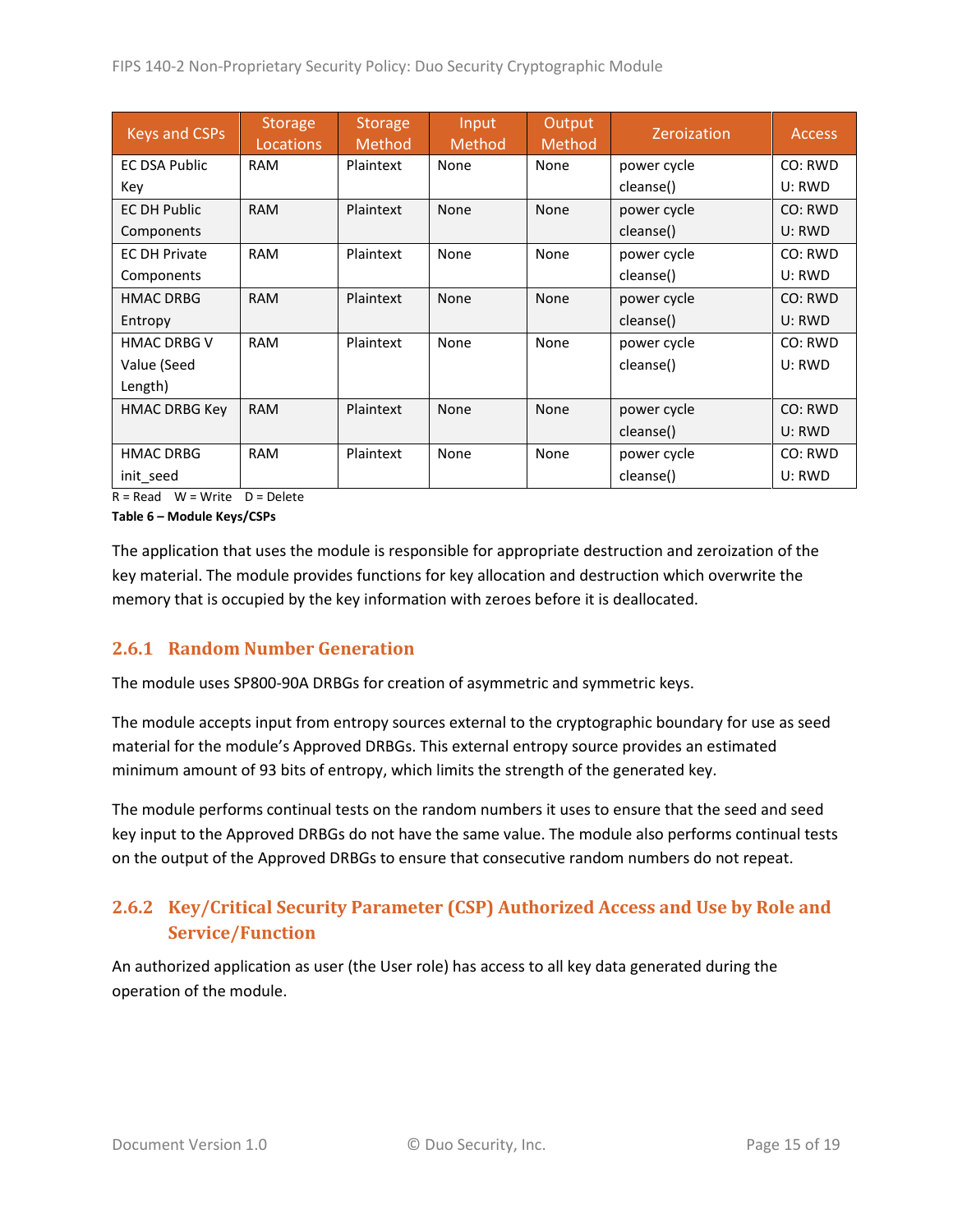| <b>Keys and CSPs</b> | <b>Storage</b><br><b>Locations</b> | <b>Storage</b><br><b>Method</b> | Input<br>Method | Output<br>Method | <b>Zeroization</b> | <b>Access</b> |
|----------------------|------------------------------------|---------------------------------|-----------------|------------------|--------------------|---------------|
| <b>EC DSA Public</b> | <b>RAM</b>                         | Plaintext                       | None            | None             | power cycle        | CO: RWD       |
| Key                  |                                    |                                 |                 |                  | cleanse()          | U: RWD        |
| <b>EC DH Public</b>  | <b>RAM</b>                         | Plaintext                       | None            | <b>None</b>      | power cycle        | CO: RWD       |
| Components           |                                    |                                 |                 |                  | cleanse()          | U: RWD        |
| <b>EC DH Private</b> | <b>RAM</b>                         | Plaintext                       | None            | None             | power cycle        | CO: RWD       |
| Components           |                                    |                                 |                 |                  | cleanse()          | U: RWD        |
| <b>HMAC DRBG</b>     | <b>RAM</b>                         | Plaintext                       | None            | <b>None</b>      | power cycle        | CO: RWD       |
| Entropy              |                                    |                                 |                 |                  | cleanse()          | U: RWD        |
| <b>HMAC DRBG V</b>   | <b>RAM</b>                         | Plaintext                       | None            | None             | power cycle        | CO: RWD       |
| Value (Seed          |                                    |                                 |                 |                  | cleanse()          | U: RWD        |
| Length)              |                                    |                                 |                 |                  |                    |               |
| <b>HMAC DRBG Key</b> | <b>RAM</b>                         | Plaintext                       | None            | None             | power cycle        | CO: RWD       |
|                      |                                    |                                 |                 |                  | cleanse()          | U: RWD        |
| <b>HMAC DRBG</b>     | <b>RAM</b>                         | Plaintext                       | None            | None             | power cycle        | CO: RWD       |
| init seed            |                                    |                                 |                 |                  | cleanse()          | U: RWD        |

 $R = Read$  W = Write D = Delete

**Table 6 – Module Keys/CSPs**

The application that uses the module is responsible for appropriate destruction and zeroization of the key material. The module provides functions for key allocation and destruction which overwrite the memory that is occupied by the key information with zeroes before it is deallocated.

#### <span id="page-14-0"></span>**2.6.1 Random Number Generation**

The module uses SP800-90A DRBGs for creation of asymmetric and symmetric keys.

The module accepts input from entropy sources external to the cryptographic boundary for use as seed material for the module's Approved DRBGs. This external entropy source provides an estimated minimum amount of 93 bits of entropy, which limits the strength of the generated key.

The module performs continual tests on the random numbers it uses to ensure that the seed and seed key input to the Approved DRBGs do not have the same value. The module also performs continual tests on the output of the Approved DRBGs to ensure that consecutive random numbers do not repeat.

## <span id="page-14-1"></span>**2.6.2 Key/Critical Security Parameter (CSP) Authorized Access and Use by Role and Service/Function**

An authorized application as user (the User role) has access to all key data generated during the operation of the module.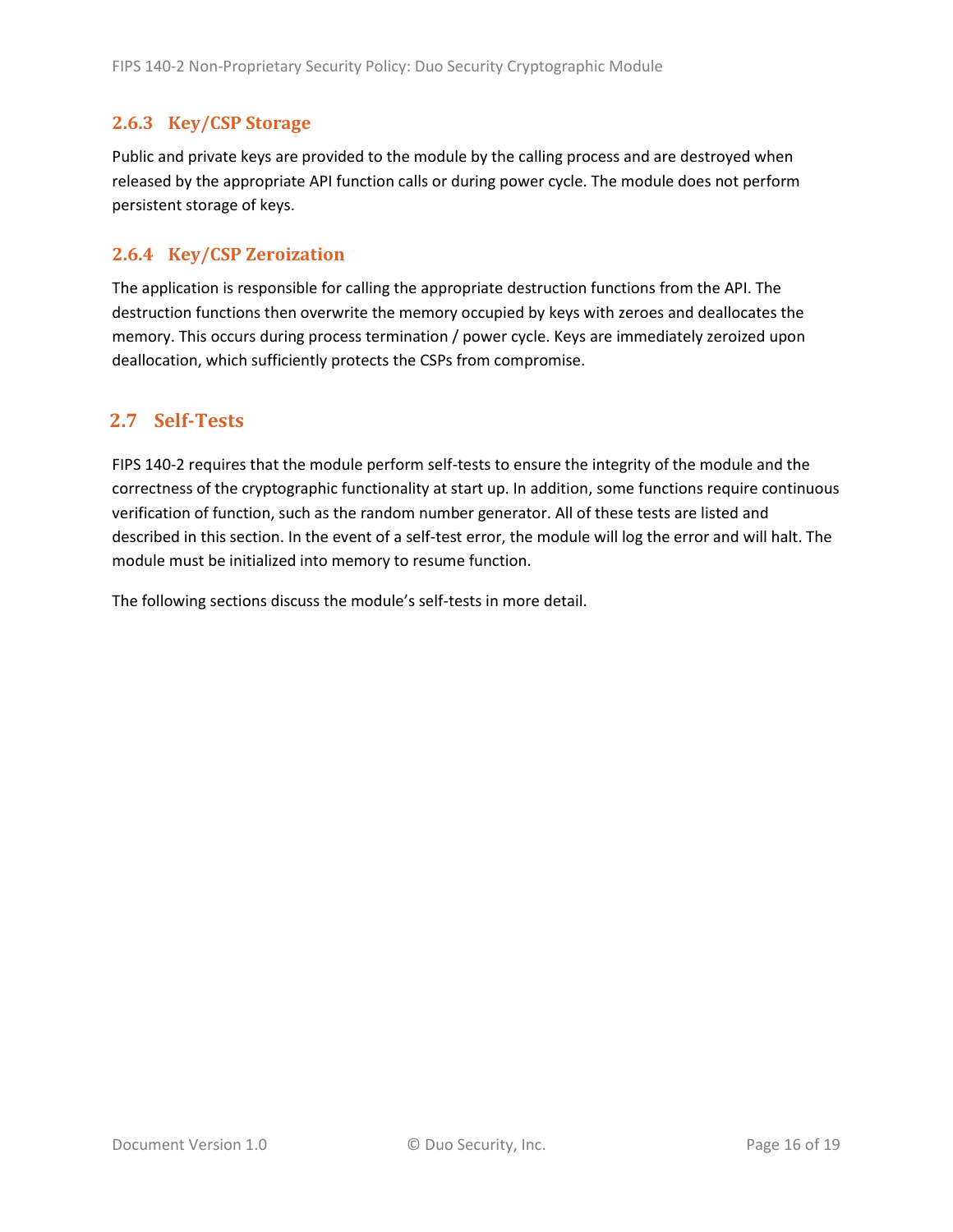#### <span id="page-15-0"></span>**2.6.3 Key/CSP Storage**

Public and private keys are provided to the module by the calling process and are destroyed when released by the appropriate API function calls or during power cycle. The module does not perform persistent storage of keys.

#### <span id="page-15-1"></span>**2.6.4 Key/CSP Zeroization**

The application is responsible for calling the appropriate destruction functions from the API. The destruction functions then overwrite the memory occupied by keys with zeroes and deallocates the memory. This occurs during process termination / power cycle. Keys are immediately zeroized upon deallocation, which sufficiently protects the CSPs from compromise.

#### <span id="page-15-2"></span>**2.7 Self-Tests**

FIPS 140-2 requires that the module perform self-tests to ensure the integrity of the module and the correctness of the cryptographic functionality at start up. In addition, some functions require continuous verification of function, such as the random number generator. All of these tests are listed and described in this section. In the event of a self-test error, the module will log the error and will halt. The module must be initialized into memory to resume function.

The following sections discuss the module's self-tests in more detail.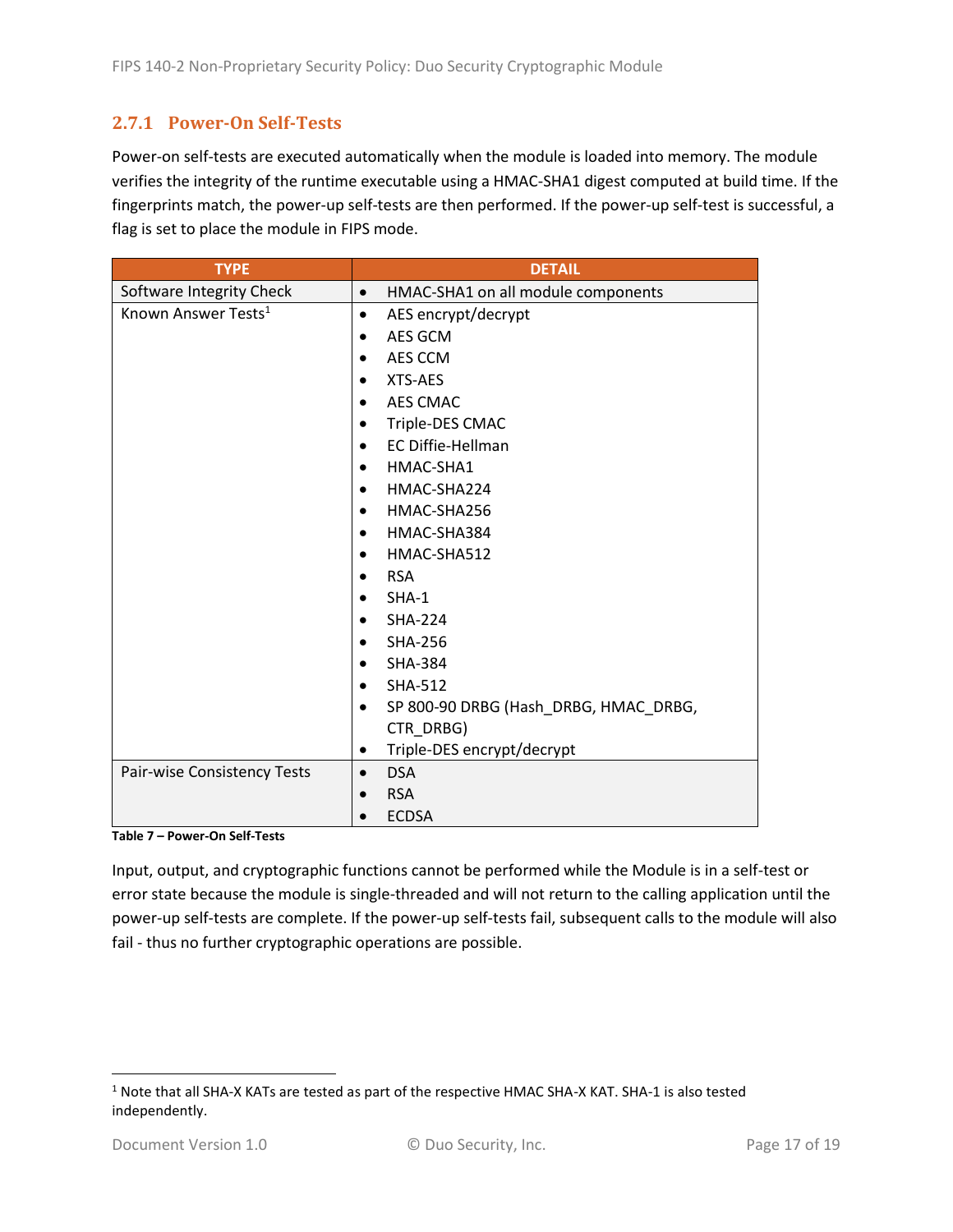#### <span id="page-16-0"></span>**2.7.1 Power-On Self-Tests**

Power-on self-tests are executed automatically when the module is loaded into memory. The module verifies the integrity of the runtime executable using a HMAC-SHA1 digest computed at build time. If the fingerprints match, the power-up self-tests are then performed. If the power-up self-test is successful, a flag is set to place the module in FIPS mode.

| <b>TYPE</b>                     | <b>DETAIL</b>                         |  |  |
|---------------------------------|---------------------------------------|--|--|
| Software Integrity Check        | HMAC-SHA1 on all module components    |  |  |
| Known Answer Tests <sup>1</sup> | AES encrypt/decrypt<br>$\bullet$      |  |  |
|                                 | AES GCM<br>$\bullet$                  |  |  |
|                                 | AES CCM                               |  |  |
|                                 | XTS-AES                               |  |  |
|                                 | <b>AES CMAC</b>                       |  |  |
|                                 | Triple-DES CMAC                       |  |  |
|                                 | EC Diffie-Hellman<br>$\bullet$        |  |  |
|                                 | HMAC-SHA1<br>$\bullet$                |  |  |
|                                 | HMAC-SHA224<br>$\bullet$              |  |  |
|                                 | HMAC-SHA256                           |  |  |
|                                 | HMAC-SHA384<br>$\bullet$              |  |  |
|                                 | HMAC-SHA512<br>$\bullet$              |  |  |
|                                 | <b>RSA</b>                            |  |  |
|                                 | $SHA-1$                               |  |  |
|                                 | <b>SHA-224</b>                        |  |  |
|                                 | SHA-256<br>$\bullet$                  |  |  |
|                                 | <b>SHA-384</b><br>$\bullet$           |  |  |
|                                 | <b>SHA-512</b>                        |  |  |
|                                 | SP 800-90 DRBG (Hash_DRBG, HMAC_DRBG, |  |  |
|                                 | CTR_DRBG)                             |  |  |
|                                 | Triple-DES encrypt/decrypt<br>٠       |  |  |
| Pair-wise Consistency Tests     | <b>DSA</b><br>$\bullet$               |  |  |
|                                 | <b>RSA</b>                            |  |  |
|                                 | <b>ECDSA</b>                          |  |  |

**Table 7 – Power-On Self-Tests**

Input, output, and cryptographic functions cannot be performed while the Module is in a self-test or error state because the module is single-threaded and will not return to the calling application until the power-up self-tests are complete. If the power-up self-tests fail, subsequent calls to the module will also fail - thus no further cryptographic operations are possible.

l

 $1$  Note that all SHA-X KATs are tested as part of the respective HMAC SHA-X KAT. SHA-1 is also tested independently.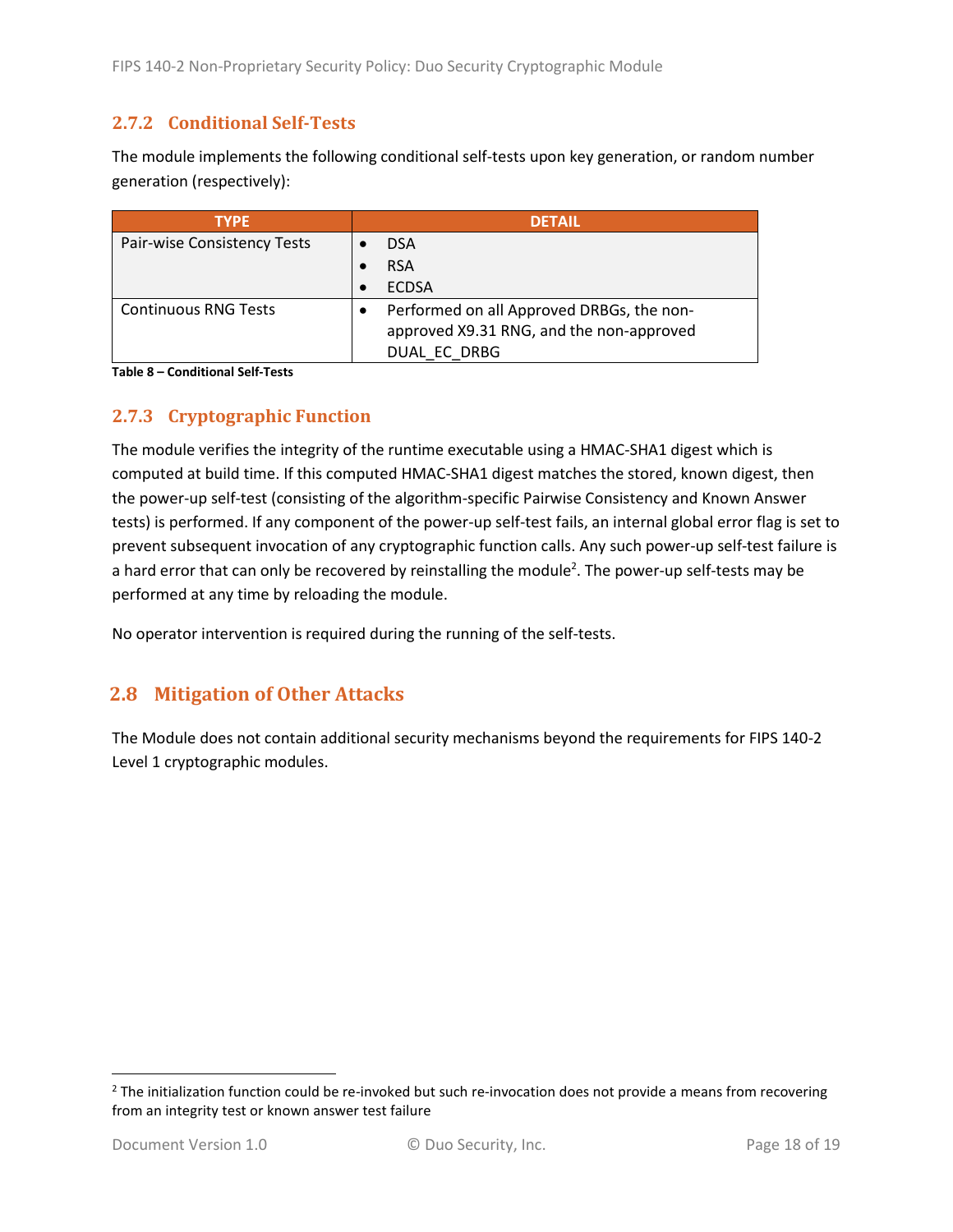#### <span id="page-17-0"></span>**2.7.2 Conditional Self-Tests**

The module implements the following conditional self-tests upon key generation, or random number generation (respectively):

| <b>TYPE</b>                 | <b>DETAIL</b>                             |  |  |
|-----------------------------|-------------------------------------------|--|--|
| Pair-wise Consistency Tests | <b>DSA</b>                                |  |  |
|                             | <b>RSA</b>                                |  |  |
|                             | <b>ECDSA</b>                              |  |  |
| <b>Continuous RNG Tests</b> | Performed on all Approved DRBGs, the non- |  |  |
|                             | approved X9.31 RNG, and the non-approved  |  |  |
|                             | DUAL EC DRBG                              |  |  |

**Table 8 – Conditional Self-Tests**

#### <span id="page-17-1"></span>**2.7.3 Cryptographic Function**

The module verifies the integrity of the runtime executable using a HMAC-SHA1 digest which is computed at build time. If this computed HMAC-SHA1 digest matches the stored, known digest, then the power-up self-test (consisting of the algorithm-specific Pairwise Consistency and Known Answer tests) is performed. If any component of the power-up self-test fails, an internal global error flag is set to prevent subsequent invocation of any cryptographic function calls. Any such power-up self-test failure is a hard error that can only be recovered by reinstalling the module<sup>2</sup>. The power-up self-tests may be performed at any time by reloading the module.

No operator intervention is required during the running of the self-tests.

## <span id="page-17-2"></span>**2.8 Mitigation of Other Attacks**

The Module does not contain additional security mechanisms beyond the requirements for FIPS 140-2 Level 1 cryptographic modules.

l

 $2$  The initialization function could be re-invoked but such re-invocation does not provide a means from recovering from an integrity test or known answer test failure